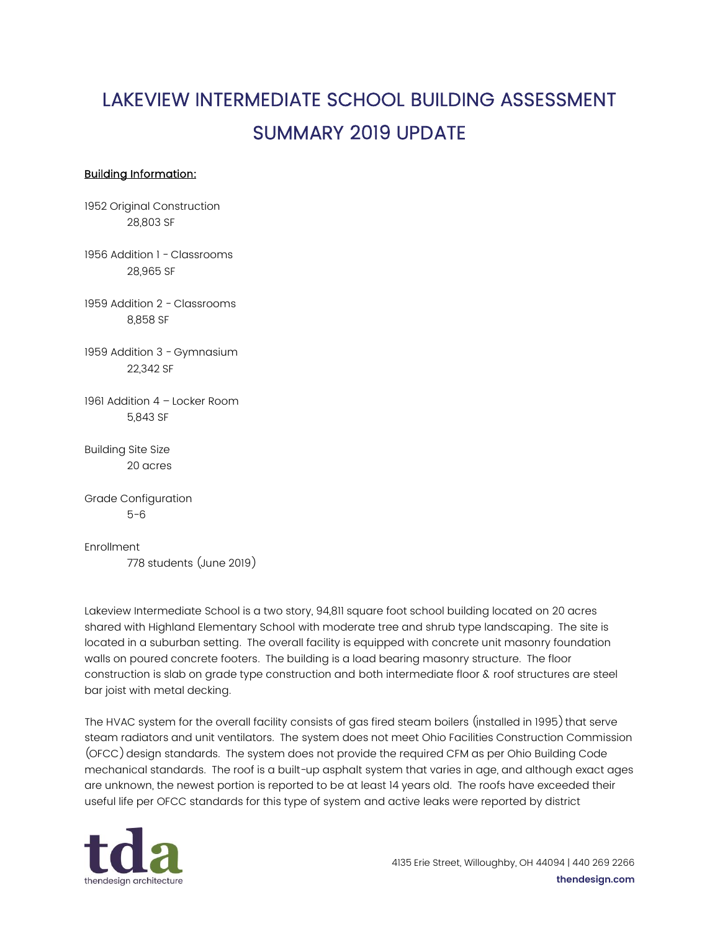## LAKEVIEW INTERMEDIATE SCHOOL BUILDING ASSESSMENT SUMMARY 2019 UPDATE

## Building Information:

1952 Original Construction 28,803 SF

1956 Addition 1 - Classrooms 28,965 SF

1959 Addition 2 - Classrooms 8,858 SF

1959 Addition 3 - Gymnasium 22,342 SF

1961 Addition 4 – Locker Room 5,843 SF

Building Site Size 20 acres

Grade Configuration 5-6

Enrollment 778 students (June 2019)

Lakeview Intermediate School is a two story, 94,811 square foot school building located on 20 acres shared with Highland Elementary School with moderate tree and shrub type landscaping. The site is located in a suburban setting. The overall facility is equipped with concrete unit masonry foundation walls on poured concrete footers. The building is a load bearing masonry structure. The floor construction is slab on grade type construction and both intermediate floor & roof structures are steel bar joist with metal decking.

The HVAC system for the overall facility consists of gas fired steam boilers (installed in 1995) that serve steam radiators and unit ventilators. The system does not meet Ohio Facilities Construction Commission (OFCC) design standards. The system does not provide the required CFM as per Ohio Building Code mechanical standards. The roof is a built-up asphalt system that varies in age, and although exact ages are unknown, the newest portion is reported to be at least 14 years old. The roofs have exceeded their useful life per OFCC standards for this type of system and active leaks were reported by district